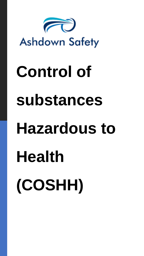

# **Control of substances Hazardous to Health (COSHH)**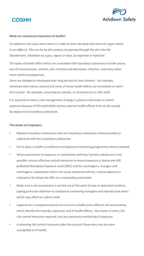



# **What are substances hazardous to health?**

*'A substance can cause harm when it is able to enter the body and reach an organ where it can affect it. This can be by skin contact, by passing through the skin into the bloodstream, inhalation as a gas, vapour or dust, by ingestion or injection'.*

The types of health effect which are associated with hazardous substances include cancer, loss of consciousness, asthma, skin irritation and dermatitis, infection, and many other more subtle consequences.

Some are delayed or developed over long periods of time (chronic - for example, chemicals that induce cancers) but many of these health effects are immediate or shortterm (acute - for example, poisoning by cyanide, or corrosive burns with acid).

It is essential to have a risk-management strategy in place to eliminate or control exposure because of the potentially serious adverse health effects that can be caused by exposure to hazardous substances.

# **The duties of employers:**

- Replace hazardous substances with non hazardous substances where possible or substitute with less hazardous substances
- Put in place a health surveillance and exposure monitoring programme where required
- Where prevention to exposure or substitution with less harmful substances is not possible, ensure effective control measures to ensure exposure is below any HSE published Workplace Exposure Level (WEL) and for carcinogens, mutagen and asthmagens- (substances which can cause industrial asthma), ensure exposure is reduced as far below the WEL as is reasonably practicable
- Make sure a risk assessment is carried out of the work of new or expectant mothers, paying particular attention to substances containing mutagens and reproductive toxins which may affect an unborn child
- organise for a competent person to carry out suitable and sufficient risk assessments, which identify the hazards, exposures and ill health effects; the routes of entry; the risk control measures required; and any necessary monitoring of exposure
- in planning risk control measures take into account those who may be more susceptible to ill health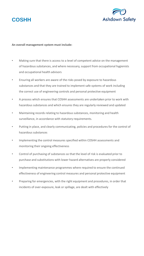



### **An overall management system must include:**

- Making sure that there is access to a level of competent advice on the management of hazardous substances, and where necessary, support from occupational hygienists and occupational health advisors
- Ensuring all workers are aware of the risks posed by exposure to hazardous substances and that they are trained to implement safe systems of work including the correct use of engineering controls and personal protective equipment
- A process which ensures that COSHH assessments are undertaken prior to work with hazardous substances and which ensures they are regularly reviewed and updated
- Maintaining records relating to hazardous substances, monitoring and health surveillance, in accordance with statutory requirements.
- Putting in place, and clearly communicating, policies and procedures for the control of hazardous substances
- Implementing the control measures specified within COSHH assessments and monitoring their ongoing effectiveness
- Control of purchasing of substances so that the level of risk is evaluated prior to purchase and substitutions with lower hazard alternatives are properly considered
- Implementing maintenance programmes where required to ensure the continued effectiveness of engineering control measures and personal protective equipment
- Preparing for emergencies, with the right equipment and procedures, in order that incidents of over-exposure, leak or spillage, are dealt with effectively